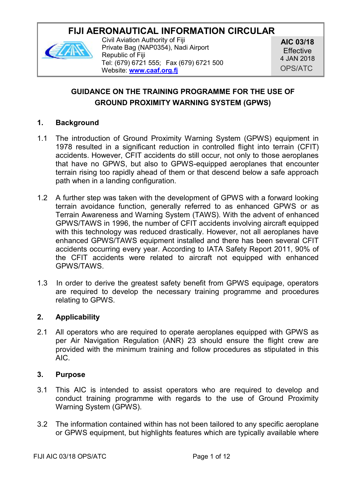# **FIJI AERONAUTICAL INFORMATION CIRCULAR**



Civil Aviation Authority of Fiji Private Bag (NAP0354), Nadi Airport Republic of Fiji Tel: (679) 6721 555; Fax (679) 6721 500 Website: **[www.caaf.org.fj](http://www.caaf.org.fj/)**

**AIC 03/18** Effective 4 JAN 2018 OPS/ATC

## **GUIDANCE ON THE TRAINING PROGRAMME FOR THE USE OF GROUND PROXIMITY WARNING SYSTEM (GPWS)**

#### **1. Background**

- 1.1 The introduction of Ground Proximity Warning System (GPWS) equipment in 1978 resulted in a significant reduction in controlled flight into terrain (CFIT) accidents. However, CFIT accidents do still occur, not only to those aeroplanes that have no GPWS, but also to GPWS-equipped aeroplanes that encounter terrain rising too rapidly ahead of them or that descend below a safe approach path when in a landing configuration.
- 1.2 A further step was taken with the development of GPWS with a forward looking terrain avoidance function, generally referred to as enhanced GPWS or as Terrain Awareness and Warning System (TAWS). With the advent of enhanced GPWS/TAWS in 1996, the number of CFIT accidents involving aircraft equipped with this technology was reduced drastically. However, not all aeroplanes have enhanced GPWS/TAWS equipment installed and there has been several CFIT accidents occurring every year. According to IATA Safety Report 2011, 90% of the CFIT accidents were related to aircraft not equipped with enhanced GPWS/TAWS.
- 1.3 In order to derive the greatest safety benefit from GPWS equipage, operators are required to develop the necessary training programme and procedures relating to GPWS.

#### **2. Applicability**

2.1 All operators who are required to operate aeroplanes equipped with GPWS as per Air Navigation Regulation (ANR) 23 should ensure the flight crew are provided with the minimum training and follow procedures as stipulated in this AIC.

#### **3. Purpose**

- 3.1 This AIC is intended to assist operators who are required to develop and conduct training programme with regards to the use of Ground Proximity Warning System (GPWS).
- 3.2 The information contained within has not been tailored to any specific aeroplane or GPWS equipment, but highlights features which are typically available where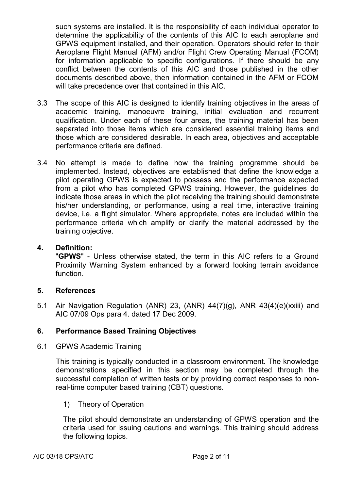such systems are installed. It is the responsibility of each individual operator to determine the applicability of the contents of this AIC to each aeroplane and GPWS equipment installed, and their operation. Operators should refer to their Aeroplane Flight Manual (AFM) and/or Flight Crew Operating Manual (FCOM) for information applicable to specific configurations. If there should be any conflict between the contents of this AIC and those published in the other documents described above, then information contained in the AFM or FCOM will take precedence over that contained in this AIC.

- 3.3 The scope of this AIC is designed to identify training objectives in the areas of academic training, manoeuvre training, initial evaluation and recurrent qualification. Under each of these four areas, the training material has been separated into those items which are considered essential training items and those which are considered desirable. In each area, objectives and acceptable performance criteria are defined.
- 3.4 No attempt is made to define how the training programme should be implemented. Instead, objectives are established that define the knowledge a pilot operating GPWS is expected to possess and the performance expected from a pilot who has completed GPWS training. However, the guidelines do indicate those areas in which the pilot receiving the training should demonstrate his/her understanding, or performance, using a real time, interactive training device, i.e. a flight simulator. Where appropriate, notes are included within the performance criteria which amplify or clarify the material addressed by the training objective.

#### **4. Definition:**

"**GPWS**" - Unless otherwise stated, the term in this AIC refers to a Ground Proximity Warning System enhanced by a forward looking terrain avoidance function.

#### **5. References**

5.1 Air Navigation Regulation (ANR) 23, (ANR) 44(7)(g), ANR 43(4)(e)(xxiii) and AIC 07/09 Ops para 4. dated 17 Dec 2009.

#### **6. Performance Based Training Objectives**

6.1 GPWS Academic Training

This training is typically conducted in a classroom environment. The knowledge demonstrations specified in this section may be completed through the successful completion of written tests or by providing correct responses to nonreal-time computer based training (CBT) questions.

1) Theory of Operation

The pilot should demonstrate an understanding of GPWS operation and the criteria used for issuing cautions and warnings. This training should address the following topics.

AIC 03/18 OPS/ATC Page 2 of 11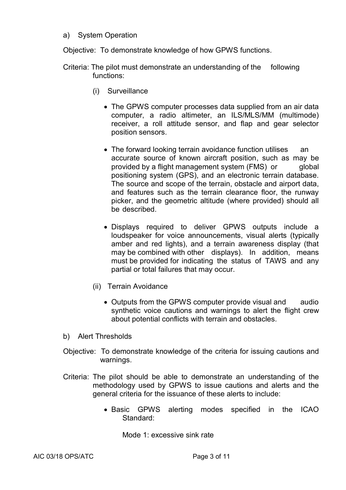a) System Operation

Objective: To demonstrate knowledge of how GPWS functions.

- Criteria: The pilot must demonstrate an understanding of the following functions:
	- (i) Surveillance
		- The GPWS computer processes data supplied from an air data computer, a radio altimeter, an ILS/MLS/MM (multimode) receiver, a roll attitude sensor, and flap and gear selector position sensors.
		- The forward looking terrain avoidance function utilises an accurate source of known aircraft position, such as may be provided by a flight management system (FMS) or global positioning system (GPS), and an electronic terrain database. The source and scope of the terrain, obstacle and airport data, and features such as the terrain clearance floor, the runway picker, and the geometric altitude (where provided) should all be described.
		- Displays required to deliver GPWS outputs include a loudspeaker for voice announcements, visual alerts (typically amber and red lights), and a terrain awareness display (that may be combined with other displays). In addition, means must be provided for indicating the status of TAWS and any partial or total failures that may occur.
	- (ii) Terrain Avoidance
		- Outputs from the GPWS computer provide visual and audio synthetic voice cautions and warnings to alert the flight crew about potential conflicts with terrain and obstacles.
- b) Alert Thresholds
- Objective: To demonstrate knowledge of the criteria for issuing cautions and warnings.
- Criteria: The pilot should be able to demonstrate an understanding of the methodology used by GPWS to issue cautions and alerts and the general criteria for the issuance of these alerts to include:
	- Basic GPWS alerting modes specified in the ICAO Standard:

Mode 1: excessive sink rate

AIC 03/18 OPS/ATC Page 3 of 11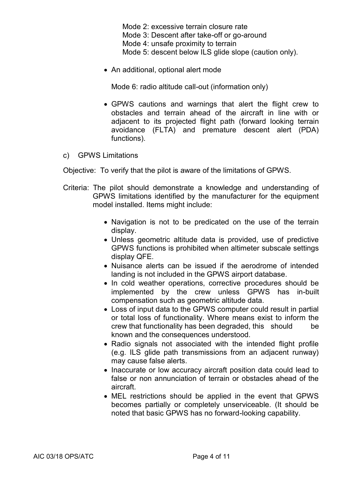Mode 2: excessive terrain closure rate Mode 3: Descent after take-off or go-around Mode 4: unsafe proximity to terrain Mode 5: descent below ILS glide slope (caution only).

• An additional, optional alert mode

Mode 6: radio altitude call-out (information only)

- GPWS cautions and warnings that alert the flight crew to obstacles and terrain ahead of the aircraft in line with or adjacent to its projected flight path (forward looking terrain avoidance (FLTA) and premature descent alert (PDA) functions).
- c) GPWS Limitations

Objective: To verify that the pilot is aware of the limitations of GPWS.

- Criteria: The pilot should demonstrate a knowledge and understanding of GPWS limitations identified by the manufacturer for the equipment model installed. Items might include:
	- Navigation is not to be predicated on the use of the terrain display.
	- Unless geometric altitude data is provided, use of predictive GPWS functions is prohibited when altimeter subscale settings display QFE.
	- Nuisance alerts can be issued if the aerodrome of intended landing is not included in the GPWS airport database.
	- In cold weather operations, corrective procedures should be implemented by the crew unless GPWS has in-built compensation such as geometric altitude data.
	- Loss of input data to the GPWS computer could result in partial or total loss of functionality. Where means exist to inform the crew that functionality has been degraded, this should be known and the consequences understood.
	- Radio signals not associated with the intended flight profile (e.g. ILS glide path transmissions from an adjacent runway) may cause false alerts.
	- Inaccurate or low accuracy aircraft position data could lead to false or non annunciation of terrain or obstacles ahead of the aircraft.
	- MEL restrictions should be applied in the event that GPWS becomes partially or completely unserviceable. (It should be noted that basic GPWS has no forward-looking capability.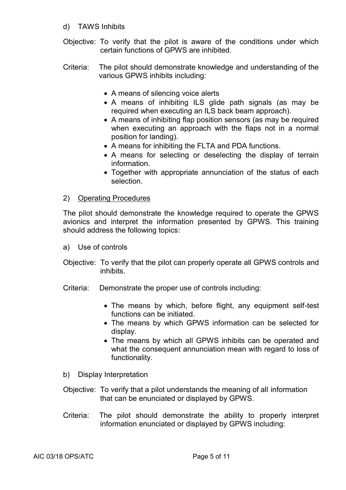- d) TAWS Inhibits
- Objective: To verify that the pilot is aware of the conditions under which certain functions of GPWS are inhibited.
- Criteria: The pilot should demonstrate knowledge and understanding of the various GPWS inhibits including:
	- A means of silencing voice alerts
	- A means of inhibiting ILS glide path signals (as may be required when executing an ILS back beam approach).
	- A means of inhibiting flap position sensors (as may be required when executing an approach with the flaps not in a normal position for landing).
	- A means for inhibiting the FLTA and PDA functions.
	- A means for selecting or deselecting the display of terrain information.
	- Together with appropriate annunciation of the status of each selection.

#### 2) Operating Procedures

The pilot should demonstrate the knowledge required to operate the GPWS avionics and interpret the information presented by GPWS. This training should address the following topics:

- a) Use of controls
- Objective: To verify that the pilot can properly operate all GPWS controls and inhibits.
- Criteria: Demonstrate the proper use of controls including:
	- The means by which, before flight, any equipment self-test functions can be initiated.
	- The means by which GPWS information can be selected for display.
	- The means by which all GPWS inhibits can be operated and what the consequent annunciation mean with regard to loss of functionality.
- b) Display Interpretation
- Objective: To verify that a pilot understands the meaning of all information that can be enunciated or displayed by GPWS.
- Criteria: The pilot should demonstrate the ability to properly interpret information enunciated or displayed by GPWS including: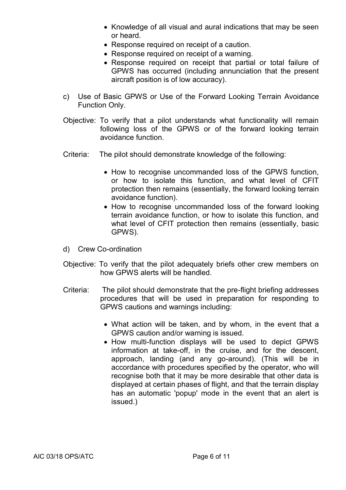- Knowledge of all visual and aural indications that may be seen or heard.
- Response required on receipt of a caution.
- Response required on receipt of a warning.
- Response required on receipt that partial or total failure of GPWS has occurred (including annunciation that the present aircraft position is of low accuracy).
- c) Use of Basic GPWS or Use of the Forward Looking Terrain Avoidance Function Only.
- Objective: To verify that a pilot understands what functionality will remain following loss of the GPWS or of the forward looking terrain avoidance function.
- Criteria: The pilot should demonstrate knowledge of the following:
	- How to recognise uncommanded loss of the GPWS function. or how to isolate this function, and what level of CFIT protection then remains (essentially, the forward looking terrain avoidance function).
	- How to recognise uncommanded loss of the forward looking terrain avoidance function, or how to isolate this function, and what level of CFIT protection then remains (essentially, basic GPWS).
- d) Crew Co-ordination
- Objective: To verify that the pilot adequately briefs other crew members on how GPWS alerts will be handled.
- Criteria: The pilot should demonstrate that the pre-flight briefing addresses procedures that will be used in preparation for responding to GPWS cautions and warnings including:
	- What action will be taken, and by whom, in the event that a GPWS caution and/or warning is issued.
	- How multi-function displays will be used to depict GPWS information at take-off, in the cruise, and for the descent, approach, landing (and any go-around). (This will be in accordance with procedures specified by the operator, who will recognise both that it may be more desirable that other data is displayed at certain phases of flight, and that the terrain display has an automatic 'popup' mode in the event that an alert is issued.)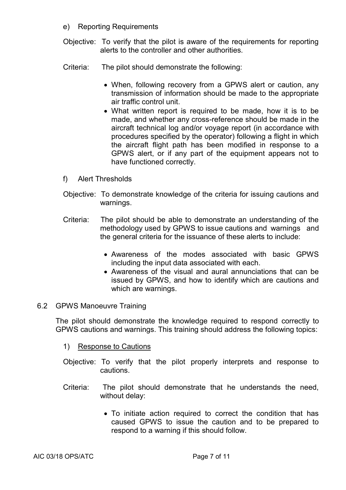- e) Reporting Requirements
- Objective: To verify that the pilot is aware of the requirements for reporting alerts to the controller and other authorities.
- Criteria: The pilot should demonstrate the following:
	- When, following recovery from a GPWS alert or caution, any transmission of information should be made to the appropriate air traffic control unit.
	- What written report is required to be made, how it is to be made, and whether any cross-reference should be made in the aircraft technical log and/or voyage report (in accordance with procedures specified by the operator) following a flight in which the aircraft flight path has been modified in response to a GPWS alert, or if any part of the equipment appears not to have functioned correctly.
- f) Alert Thresholds
- Objective: To demonstrate knowledge of the criteria for issuing cautions and warnings.
- Criteria: The pilot should be able to demonstrate an understanding of the methodology used by GPWS to issue cautions and warnings and the general criteria for the issuance of these alerts to include:
	- Awareness of the modes associated with basic GPWS including the input data associated with each.
	- Awareness of the visual and aural annunciations that can be issued by GPWS, and how to identify which are cautions and which are warnings.

#### 6.2 GPWS Manoeuvre Training

The pilot should demonstrate the knowledge required to respond correctly to GPWS cautions and warnings. This training should address the following topics:

- 1) Response to Cautions
- Objective: To verify that the pilot properly interprets and response to cautions.
- Criteria: The pilot should demonstrate that he understands the need, without delay:
	- To initiate action required to correct the condition that has caused GPWS to issue the caution and to be prepared to respond to a warning if this should follow.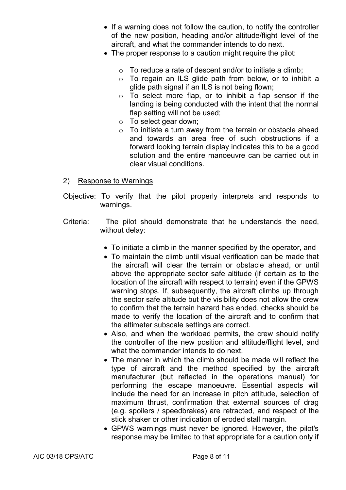- If a warning does not follow the caution, to notify the controller of the new position, heading and/or altitude/flight level of the aircraft, and what the commander intends to do next.
- The proper response to a caution might require the pilot:
	- $\circ$  To reduce a rate of descent and/or to initiate a climb:
	- o To regain an ILS glide path from below, or to inhibit a glide path signal if an ILS is not being flown;
	- o To select more flap, or to inhibit a flap sensor if the landing is being conducted with the intent that the normal flap setting will not be used:
	- o To select gear down;
	- $\circ$  To initiate a turn away from the terrain or obstacle ahead and towards an area free of such obstructions if a forward looking terrain display indicates this to be a good solution and the entire manoeuvre can be carried out in clear visual conditions.
- 2) Response to Warnings
- Objective: To verify that the pilot properly interprets and responds to warnings.
- Criteria: The pilot should demonstrate that he understands the need, without delay:
	- To initiate a climb in the manner specified by the operator, and
	- To maintain the climb until visual verification can be made that the aircraft will clear the terrain or obstacle ahead, or until above the appropriate sector safe altitude (if certain as to the location of the aircraft with respect to terrain) even if the GPWS warning stops. If, subsequently, the aircraft climbs up through the sector safe altitude but the visibility does not allow the crew to confirm that the terrain hazard has ended, checks should be made to verify the location of the aircraft and to confirm that the altimeter subscale settings are correct.
	- Also, and when the workload permits, the crew should notify the controller of the new position and altitude/flight level, and what the commander intends to do next.
	- The manner in which the climb should be made will reflect the type of aircraft and the method specified by the aircraft manufacturer (but reflected in the operations manual) for performing the escape manoeuvre. Essential aspects will include the need for an increase in pitch attitude, selection of maximum thrust, confirmation that external sources of drag (e.g. spoilers / speedbrakes) are retracted, and respect of the stick shaker or other indication of eroded stall margin.
	- GPWS warnings must never be ignored. However, the pilot's response may be limited to that appropriate for a caution only if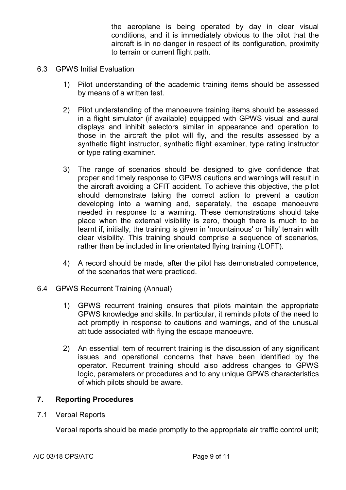the aeroplane is being operated by day in clear visual conditions, and it is immediately obvious to the pilot that the aircraft is in no danger in respect of its configuration, proximity to terrain or current flight path.

- 6.3 GPWS Initial Evaluation
	- 1) Pilot understanding of the academic training items should be assessed by means of a written test.
	- 2) Pilot understanding of the manoeuvre training items should be assessed in a flight simulator (if available) equipped with GPWS visual and aural displays and inhibit selectors similar in appearance and operation to those in the aircraft the pilot will fly, and the results assessed by a synthetic flight instructor, synthetic flight examiner, type rating instructor or type rating examiner.
	- 3) The range of scenarios should be designed to give confidence that proper and timely response to GPWS cautions and warnings will result in the aircraft avoiding a CFIT accident. To achieve this objective, the pilot should demonstrate taking the correct action to prevent a caution developing into a warning and, separately, the escape manoeuvre needed in response to a warning. These demonstrations should take place when the external visibility is zero, though there is much to be learnt if, initially, the training is given in 'mountainous' or 'hilly' terrain with clear visibility. This training should comprise a sequence of scenarios, rather than be included in line orientated flying training (LOFT).
	- 4) A record should be made, after the pilot has demonstrated competence, of the scenarios that were practiced.
- 6.4 GPWS Recurrent Training (Annual)
	- 1) GPWS recurrent training ensures that pilots maintain the appropriate GPWS knowledge and skills. In particular, it reminds pilots of the need to act promptly in response to cautions and warnings, and of the unusual attitude associated with flying the escape manoeuvre.
	- 2) An essential item of recurrent training is the discussion of any significant issues and operational concerns that have been identified by the operator. Recurrent training should also address changes to GPWS logic, parameters or procedures and to any unique GPWS characteristics of which pilots should be aware.

#### **7. Reporting Procedures**

7.1 Verbal Reports

Verbal reports should be made promptly to the appropriate air traffic control unit;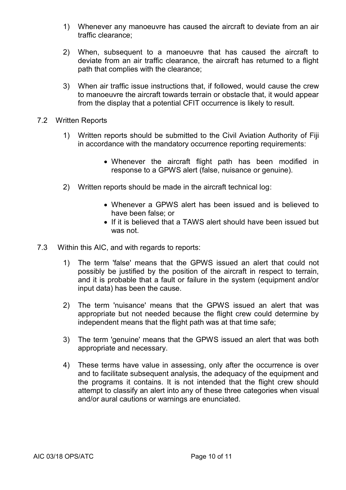- 1) Whenever any manoeuvre has caused the aircraft to deviate from an air traffic clearance;
- 2) When, subsequent to a manoeuvre that has caused the aircraft to deviate from an air traffic clearance, the aircraft has returned to a flight path that complies with the clearance;
- 3) When air traffic issue instructions that, if followed, would cause the crew to manoeuvre the aircraft towards terrain or obstacle that, it would appear from the display that a potential CFIT occurrence is likely to result.
- 7.2 Written Reports
	- 1) Written reports should be submitted to the Civil Aviation Authority of Fiji in accordance with the mandatory occurrence reporting requirements:
		- Whenever the aircraft flight path has been modified in response to a GPWS alert (false, nuisance or genuine).
	- 2) Written reports should be made in the aircraft technical log:
		- Whenever a GPWS alert has been issued and is believed to have been false; or
		- If it is believed that a TAWS alert should have been issued but was not.
- 7.3 Within this AIC, and with regards to reports:
	- 1) The term 'false' means that the GPWS issued an alert that could not possibly be justified by the position of the aircraft in respect to terrain, and it is probable that a fault or failure in the system (equipment and/or input data) has been the cause.
	- 2) The term 'nuisance' means that the GPWS issued an alert that was appropriate but not needed because the flight crew could determine by independent means that the flight path was at that time safe;
	- 3) The term 'genuine' means that the GPWS issued an alert that was both appropriate and necessary.
	- 4) These terms have value in assessing, only after the occurrence is over and to facilitate subsequent analysis, the adequacy of the equipment and the programs it contains. It is not intended that the flight crew should attempt to classify an alert into any of these three categories when visual and/or aural cautions or warnings are enunciated.